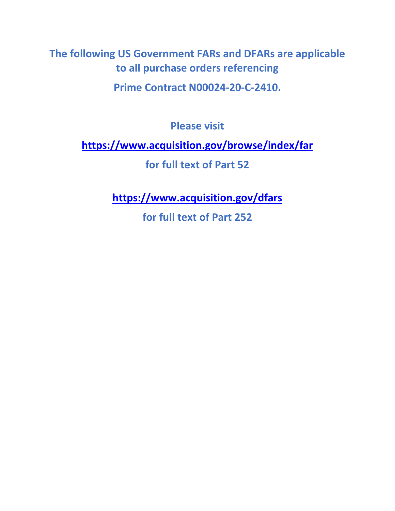**The following US Government FARs and DFARs are applicable to all purchase orders referencing**

**Prime Contract N00024-20-C-2410.**

**Please visit**

**<https://www.acquisition.gov/browse/index/far>**

**for full text of Part 52**

**<https://www.acquisition.gov/dfars>**

**for full text of Part 252**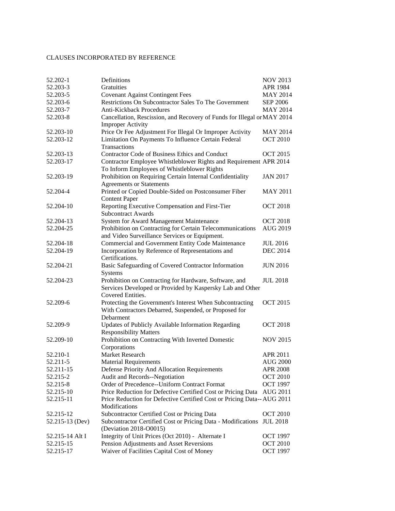## CLAUSES INCORPORATED BY REFERENCE

| 52.202-1               | Definitions                                                                            | <b>NOV 2013</b>                    |
|------------------------|----------------------------------------------------------------------------------------|------------------------------------|
| 52.203-3               | <b>Gratuities</b>                                                                      | APR 1984                           |
| 52.203-5               | <b>Covenant Against Contingent Fees</b>                                                | <b>MAY 2014</b>                    |
| 52.203-6               | Restrictions On Subcontractor Sales To The Government                                  | <b>SEP 2006</b>                    |
| 52.203-7               | <b>Anti-Kickback Procedures</b>                                                        | <b>MAY 2014</b>                    |
| 52.203-8               | Cancellation, Rescission, and Recovery of Funds for Illegal or MAY 2014                |                                    |
|                        | <b>Improper Activity</b>                                                               |                                    |
| 52.203-10              | Price Or Fee Adjustment For Illegal Or Improper Activity                               | <b>MAY 2014</b>                    |
| 52.203-12              | Limitation On Payments To Influence Certain Federal                                    | <b>OCT 2010</b>                    |
|                        | <b>Transactions</b>                                                                    |                                    |
| 52.203-13              | <b>Contractor Code of Business Ethics and Conduct</b>                                  | <b>OCT 2015</b>                    |
| 52.203-17              | Contractor Employee Whistleblower Rights and Requirement APR 2014                      |                                    |
|                        | To Inform Employees of Whistleblower Rights                                            |                                    |
| 52.203-19              | Prohibition on Requiring Certain Internal Confidentiality                              | <b>JAN 2017</b>                    |
|                        | <b>Agreements or Statements</b>                                                        |                                    |
| 52.204-4               | Printed or Copied Double-Sided on Postconsumer Fiber<br><b>Content Paper</b>           | <b>MAY 2011</b>                    |
| 52.204-10              | Reporting Executive Compensation and First-Tier<br><b>Subcontract Awards</b>           | <b>OCT 2018</b>                    |
| 52.204-13              | System for Award Management Maintenance                                                | <b>OCT 2018</b>                    |
| 52.204-25              | Prohibition on Contracting for Certain Telecommunications                              | <b>AUG 2019</b>                    |
|                        | and Video Surveillance Services or Equipment.                                          |                                    |
| 52.204-18              | Commercial and Government Entity Code Maintenance                                      | <b>JUL 2016</b>                    |
| 52.204-19              | Incorporation by Reference of Representations and                                      | <b>DEC 2014</b>                    |
|                        | Certifications.                                                                        |                                    |
| 52.204-21              | Basic Safeguarding of Covered Contractor Information<br>Systems                        | <b>JUN 2016</b>                    |
| 52.204-23              | Prohibition on Contracting for Hardware, Software, and                                 | <b>JUL 2018</b>                    |
|                        | Services Developed or Provided by Kaspersky Lab and Other                              |                                    |
|                        | Covered Entities.                                                                      |                                    |
| 52.209-6               | Protecting the Government's Interest When Subcontracting                               | <b>OCT 2015</b>                    |
|                        | With Contractors Debarred, Suspended, or Proposed for                                  |                                    |
|                        | Debarment                                                                              |                                    |
| 52.209-9               | Updates of Publicly Available Information Regarding                                    | <b>OCT 2018</b>                    |
|                        | <b>Responsibility Matters</b>                                                          |                                    |
| 52.209-10              | Prohibition on Contracting With Inverted Domestic                                      | <b>NOV 2015</b>                    |
|                        | Corporations                                                                           |                                    |
| 52.210-1               | Market Research                                                                        | APR 2011                           |
| 52.211-5               | <b>Material Requirements</b>                                                           | <b>AUG 2000</b>                    |
| 52.211-15              | Defense Priority And Allocation Requirements                                           | <b>APR 2008</b>                    |
| 52.215-2               | Audit and Records--Negotiation                                                         | <b>OCT 2010</b>                    |
| 52.215-8               | Order of Precedence--Uniform Contract Format                                           | <b>OCT 1997</b>                    |
| 52.215-10              | Price Reduction for Defective Certified Cost or Pricing Data                           | AUG 2011                           |
| 52.215-11              | Price Reduction for Defective Certified Cost or Pricing Data--AUG 2011                 |                                    |
|                        | <b>Modifications</b>                                                                   |                                    |
| 52.215-12              | Subcontractor Certified Cost or Pricing Data                                           | <b>OCT 2010</b>                    |
| 52.215-13 (Dev)        | Subcontractor Certified Cost or Pricing Data - Modifications                           | <b>JUL 2018</b>                    |
|                        | (Deviation 2018-O0015)                                                                 |                                    |
| 52.215-14 Alt I        | Integrity of Unit Prices (Oct 2010) - Alternate I                                      | <b>OCT 1997</b>                    |
| 52.215-15<br>52.215-17 | Pension Adjustments and Asset Reversions<br>Waiver of Facilities Capital Cost of Money | <b>OCT 2010</b><br><b>OCT 1997</b> |
|                        |                                                                                        |                                    |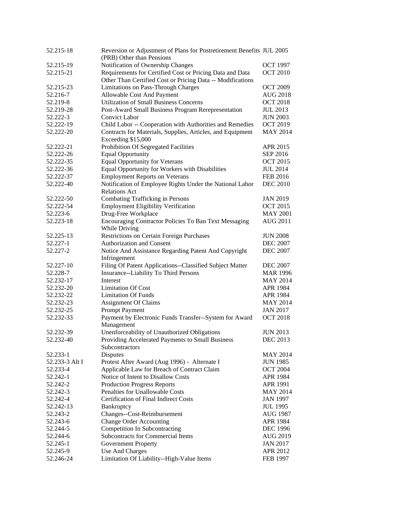| 52.215-18            | Reversion or Adjustment of Plans for Postretirement Benefits JUL 2005 |                             |
|----------------------|-----------------------------------------------------------------------|-----------------------------|
|                      | (PRB) Other than Pensions                                             |                             |
| 52.215-19            | Notification of Ownership Changes                                     | <b>OCT 1997</b>             |
| 52.215-21            | Requirements for Certified Cost or Pricing Data and Data              | <b>OCT 2010</b>             |
|                      | Other Than Certified Cost or Pricing Data -- Modifications            |                             |
| 52.215-23            | Limitations on Pass-Through Charges                                   | <b>OCT 2009</b>             |
| 52.216-7             | Allowable Cost And Payment                                            | AUG 2018                    |
| 52.219-8             | <b>Utilization of Small Business Concerns</b>                         | <b>OCT 2018</b>             |
| 52.219-28            | Post-Award Small Business Program Rerepresentation                    | <b>JUL 2013</b>             |
| 52.222-3             | <b>Convict Labor</b>                                                  | <b>JUN 2003</b>             |
| 52.222-19            | Child Labor -- Cooperation with Authorities and Remedies              | <b>OCT 2019</b>             |
| 52.222-20            | Contracts for Materials, Supplies, Articles, and Equipment            | <b>MAY 2014</b>             |
|                      | Exceeding \$15,000                                                    |                             |
| 52.222-21            | Prohibition Of Segregated Facilities                                  | APR 2015                    |
| 52.222-26            | <b>Equal Opportunity</b>                                              | <b>SEP 2016</b>             |
| 52.222-35            | <b>Equal Opportunity for Veterans</b>                                 | <b>OCT 2015</b>             |
| 52.222-36            | Equal Opportunity for Workers with Disabilities                       | <b>JUL 2014</b>             |
| 52.222-37            | <b>Employment Reports on Veterans</b>                                 | <b>FEB 2016</b>             |
| 52.222-40            | Notification of Employee Rights Under the National Labor              | <b>DEC 2010</b>             |
|                      | <b>Relations Act</b>                                                  |                             |
| 52.222-50            | <b>Combating Trafficking in Persons</b>                               | <b>JAN 2019</b>             |
| 52.222-54            | <b>Employment Eligibility Verification</b>                            | <b>OCT 2015</b>             |
| 52.223-6             | Drug-Free Workplace                                                   | <b>MAY 2001</b>             |
| 52.223-18            | Encouraging Contractor Policies To Ban Text Messaging                 | <b>AUG 2011</b>             |
|                      | While Driving                                                         |                             |
| 52.225-13            | <b>Restrictions on Certain Foreign Purchases</b>                      | <b>JUN 2008</b>             |
| 52.227-1             | Authorization and Consent                                             | <b>DEC 2007</b>             |
| 52.227-2             | Notice And Assistance Regarding Patent And Copyright                  | <b>DEC 2007</b>             |
|                      | Infringement                                                          |                             |
| 52.227-10            | Filing Of Patent Applications--Classified Subject Matter              | <b>DEC 2007</b>             |
| 52.228-7             | Insurance--Liability To Third Persons                                 | <b>MAR 1996</b>             |
| 52.232-17            | Interest                                                              | <b>MAY 2014</b>             |
| 52.232-20            | <b>Limitation Of Cost</b>                                             | APR 1984                    |
| 52.232-22            | <b>Limitation Of Funds</b>                                            | APR 1984                    |
| 52.232-23            | <b>Assignment Of Claims</b>                                           | <b>MAY 2014</b>             |
| 52.232-25            | Prompt Payment                                                        | <b>JAN 2017</b>             |
| 52.232-33            | Payment by Electronic Funds Transfer--System for Award                | <b>OCT 2018</b>             |
|                      | Management                                                            |                             |
| 52.232-39            | Unenforceability of Unauthorized Obligations                          | <b>JUN 2013</b>             |
| 52.232-40            | Providing Accelerated Payments to Small Business                      | <b>DEC 2013</b>             |
|                      | Subcontractors                                                        |                             |
| 52.233-1             | Disputes                                                              | <b>MAY 2014</b>             |
| 52.233-3 Alt I       | Protest After Award (Aug 1996) - Alternate I                          | <b>JUN 1985</b>             |
| 52.233-4             | Applicable Law for Breach of Contract Claim                           | <b>OCT 2004</b>             |
| 52.242-1             | Notice of Intent to Disallow Costs                                    | APR 1984                    |
| 52.242-2             | <b>Production Progress Reports</b>                                    | APR 1991                    |
| 52.242-3             | Penalties for Unallowable Costs                                       | <b>MAY 2014</b>             |
| 52.242-4             | <b>Certification of Final Indirect Costs</b>                          | <b>JAN 1997</b>             |
| 52.242-13            | Bankruptcy                                                            | <b>JUL 1995</b>             |
| 52.243-2             | Changes--Cost-Reimbursement                                           | AUG 1987                    |
| 52.243-6             | <b>Change Order Accounting</b>                                        | APR 1984                    |
| 52.244-5             | Competition In Subcontracting                                         | <b>DEC</b> 1996             |
| 52.244-6             | <b>Subcontracts for Commercial Items</b>                              | AUG 2019                    |
|                      |                                                                       |                             |
| 52.245-1<br>52.245-9 | <b>Government Property</b>                                            | <b>JAN 2017</b><br>APR 2012 |
|                      | Use And Charges                                                       |                             |
| 52.246-24            | Limitation Of Liability--High-Value Items                             | <b>FEB 1997</b>             |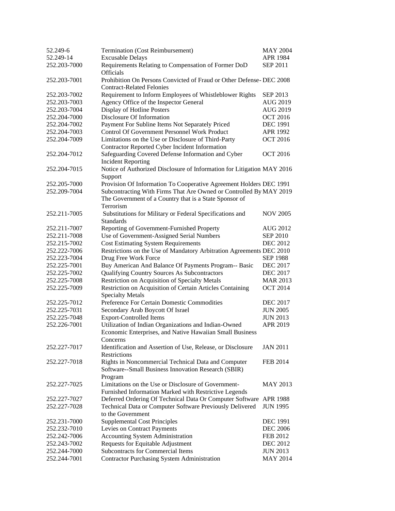| 52.249-6     | Termination (Cost Reimbursement)                                                                                      | <b>MAY 2004</b> |
|--------------|-----------------------------------------------------------------------------------------------------------------------|-----------------|
| 52.249-14    | <b>Excusable Delays</b>                                                                                               | APR 1984        |
| 252.203-7000 | Requirements Relating to Compensation of Former DoD<br>Officials                                                      | SEP 2011        |
| 252.203-7001 | Prohibition On Persons Convicted of Fraud or Other Defense-DEC 2008<br><b>Contract-Related Felonies</b>               |                 |
| 252.203-7002 | Requirement to Inform Employees of Whistleblower Rights                                                               | SEP 2013        |
| 252.203-7003 | Agency Office of the Inspector General                                                                                | <b>AUG 2019</b> |
| 252.203-7004 | Display of Hotline Posters                                                                                            | AUG 2019        |
| 252.204-7000 | Disclosure Of Information                                                                                             | <b>OCT 2016</b> |
| 252.204-7002 | Payment For Subline Items Not Separately Priced                                                                       | <b>DEC 1991</b> |
| 252.204-7003 | Control Of Government Personnel Work Product                                                                          | APR 1992        |
| 252.204-7009 | Limitations on the Use or Disclosure of Third-Party                                                                   | <b>OCT 2016</b> |
|              | Contractor Reported Cyber Incident Information                                                                        |                 |
| 252.204-7012 | Safeguarding Covered Defense Information and Cyber<br><b>Incident Reporting</b>                                       | <b>OCT 2016</b> |
| 252.204-7015 | Notice of Authorized Disclosure of Information for Litigation MAY 2016<br>Support                                     |                 |
| 252.205-7000 | Provision Of Information To Cooperative Agreement Holders DEC 1991                                                    |                 |
| 252.209-7004 | Subcontracting With Firms That Are Owned or Controlled By MAY 2019                                                    |                 |
|              | The Government of a Country that is a State Sponsor of<br>Terrorism                                                   |                 |
| 252.211-7005 | Substitutions for Military or Federal Specifications and                                                              | <b>NOV 2005</b> |
|              | Standards                                                                                                             |                 |
| 252.211-7007 | Reporting of Government-Furnished Property                                                                            | <b>AUG 2012</b> |
| 252.211-7008 | Use of Government-Assigned Serial Numbers                                                                             | <b>SEP 2010</b> |
| 252.215-7002 | <b>Cost Estimating System Requirements</b>                                                                            | <b>DEC 2012</b> |
| 252.222-7006 | Restrictions on the Use of Mandatory Arbitration Agreements DEC 2010                                                  |                 |
| 252.223-7004 | Drug Free Work Force                                                                                                  | <b>SEP 1988</b> |
| 252.225-7001 | Buy American And Balance Of Payments Program-- Basic                                                                  | <b>DEC 2017</b> |
| 252.225-7002 | Qualifying Country Sources As Subcontractors                                                                          | <b>DEC 2017</b> |
| 252.225-7008 | Restriction on Acquisition of Specialty Metals                                                                        | <b>MAR 2013</b> |
| 252.225-7009 | Restriction on Acquisition of Certain Articles Containing                                                             | <b>OCT 2014</b> |
|              | <b>Specialty Metals</b>                                                                                               |                 |
| 252.225-7012 | Preference For Certain Domestic Commodities                                                                           | <b>DEC 2017</b> |
| 252.225-7031 | Secondary Arab Boycott Of Israel                                                                                      | <b>JUN 2005</b> |
| 252.225-7048 | <b>Export-Controlled Items</b>                                                                                        | <b>JUN 2013</b> |
| 252.226-7001 | Utilization of Indian Organizations and Indian-Owned                                                                  | APR 2019        |
|              | Economic Enterprises, and Native Hawaiian Small Business                                                              |                 |
|              | Concerns                                                                                                              |                 |
| 252.227-7017 | Identification and Assertion of Use, Release, or Disclosure<br>Restrictions                                           | <b>JAN 2011</b> |
| 252.227-7018 | Rights in Noncommercial Technical Data and Computer<br>Software--Small Business Innovation Research (SBIR)<br>Program | <b>FEB 2014</b> |
| 252.227-7025 | Limitations on the Use or Disclosure of Government-                                                                   | <b>MAY 2013</b> |
|              | Furnished Information Marked with Restrictive Legends                                                                 |                 |
| 252.227-7027 | Deferred Ordering Of Technical Data Or Computer Software APR 1988                                                     |                 |
| 252.227-7028 | Technical Data or Computer Software Previously Delivered<br>to the Government                                         | <b>JUN 1995</b> |
| 252.231-7000 | <b>Supplemental Cost Principles</b>                                                                                   | <b>DEC 1991</b> |
| 252.232-7010 | Levies on Contract Payments                                                                                           | <b>DEC 2006</b> |
| 252.242-7006 | <b>Accounting System Administration</b>                                                                               | FEB 2012        |
| 252.243-7002 | Requests for Equitable Adjustment                                                                                     | <b>DEC 2012</b> |
| 252.244-7000 | <b>Subcontracts for Commercial Items</b>                                                                              | <b>JUN 2013</b> |
| 252.244-7001 | <b>Contractor Purchasing System Administration</b>                                                                    | <b>MAY 2014</b> |